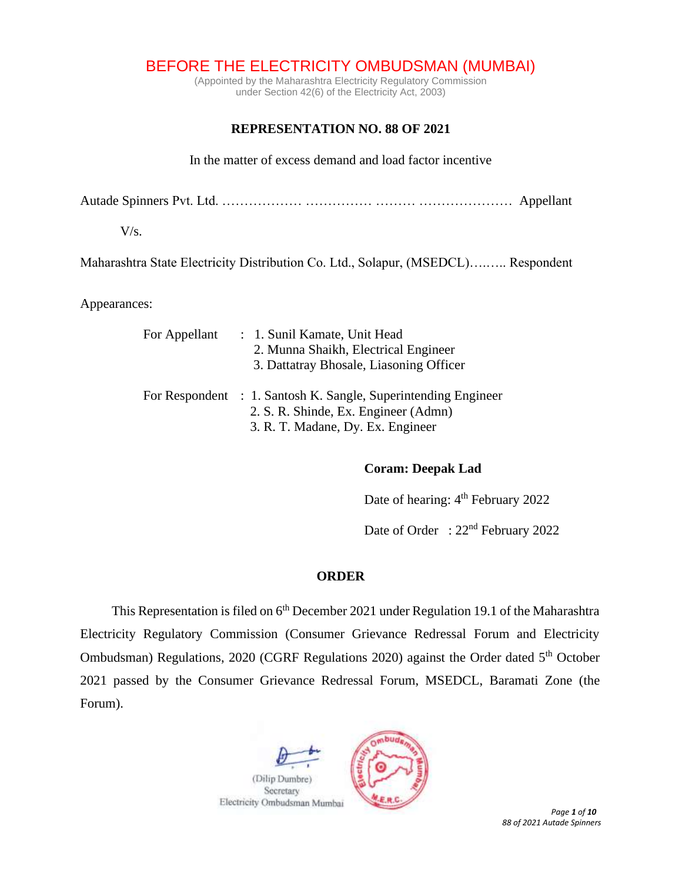BEFORE THE ELECTRICITY OMBUDSMAN (MUMBAI)

(Appointed by the Maharashtra Electricity Regulatory Commission under Section 42(6) of the Electricity Act, 2003)

# **REPRESENTATION NO. 88 OF 2021**

In the matter of excess demand and load factor incentive

Autade Spinners Pvt. Ltd. ……………… …………… ……… ………………… Appellant

 $V/s$ .

Maharashtra State Electricity Distribution Co. Ltd., Solapur, (MSEDCL)….….. Respondent

Appearances:

| For Appellant | : 1. Sunil Kamate, Unit Head<br>2. Munna Shaikh, Electrical Engineer<br>3. Dattatray Bhosale, Liasoning Officer                             |
|---------------|---------------------------------------------------------------------------------------------------------------------------------------------|
|               | For Respondent : 1. Santosh K. Sangle, Superintending Engineer<br>2. S. R. Shinde, Ex. Engineer (Admn)<br>3. R. T. Madane, Dy. Ex. Engineer |

## **Coram: Deepak Lad**

Date of hearing: 4<sup>th</sup> February 2022

Date of Order : 22<sup>nd</sup> February 2022

## **ORDER**

This Representation is filed on 6<sup>th</sup> December 2021 under Regulation 19.1 of the Maharashtra Electricity Regulatory Commission (Consumer Grievance Redressal Forum and Electricity Ombudsman) Regulations, 2020 (CGRF Regulations 2020) against the Order dated 5<sup>th</sup> October 2021 passed by the Consumer Grievance Redressal Forum, MSEDCL, Baramati Zone (the Forum).

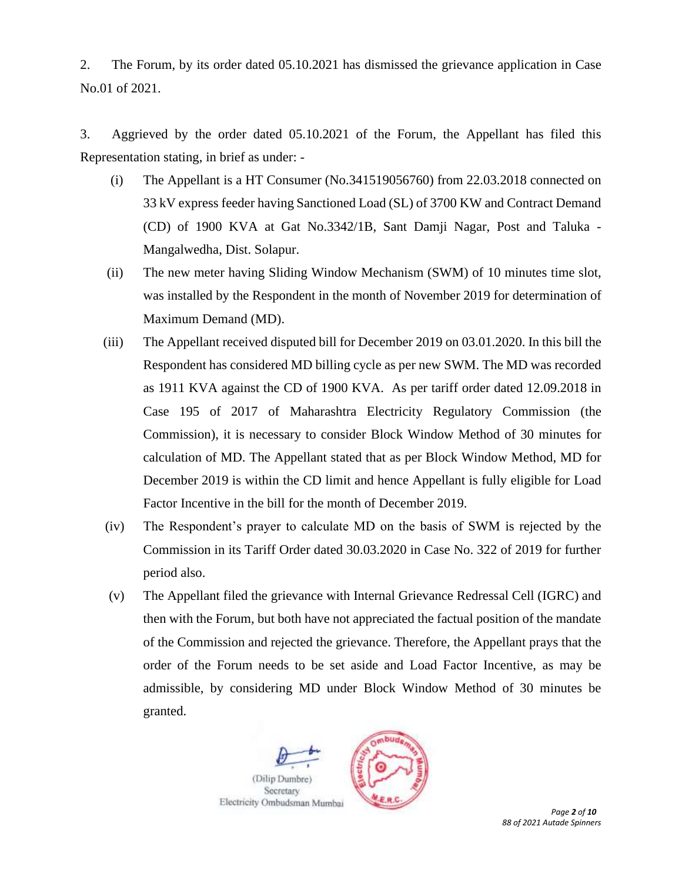2. The Forum, by its order dated 05.10.2021 has dismissed the grievance application in Case No.01 of 2021.

3. Aggrieved by the order dated 05.10.2021 of the Forum, the Appellant has filed this Representation stating, in brief as under: -

- (i) The Appellant is a HT Consumer (No.341519056760) from 22.03.2018 connected on 33 kV express feeder having Sanctioned Load (SL) of 3700 KW and Contract Demand (CD) of 1900 KVA at Gat No.3342/1B, Sant Damji Nagar, Post and Taluka - Mangalwedha, Dist. Solapur.
- (ii) The new meter having Sliding Window Mechanism (SWM) of 10 minutes time slot, was installed by the Respondent in the month of November 2019 for determination of Maximum Demand (MD).
- (iii) The Appellant received disputed bill for December 2019 on 03.01.2020. In this bill the Respondent has considered MD billing cycle as per new SWM. The MD was recorded as 1911 KVA against the CD of 1900 KVA. As per tariff order dated 12.09.2018 in Case 195 of 2017 of Maharashtra Electricity Regulatory Commission (the Commission), it is necessary to consider Block Window Method of 30 minutes for calculation of MD. The Appellant stated that as per Block Window Method, MD for December 2019 is within the CD limit and hence Appellant is fully eligible for Load Factor Incentive in the bill for the month of December 2019.
- (iv) The Respondent's prayer to calculate MD on the basis of SWM is rejected by the Commission in its Tariff Order dated 30.03.2020 in Case No. 322 of 2019 for further period also.
- (v) The Appellant filed the grievance with Internal Grievance Redressal Cell (IGRC) and then with the Forum, but both have not appreciated the factual position of the mandate of the Commission and rejected the grievance. Therefore, the Appellant prays that the order of the Forum needs to be set aside and Load Factor Incentive, as may be admissible, by considering MD under Block Window Method of 30 minutes be granted.





*88 of 2021 Autade Spinners*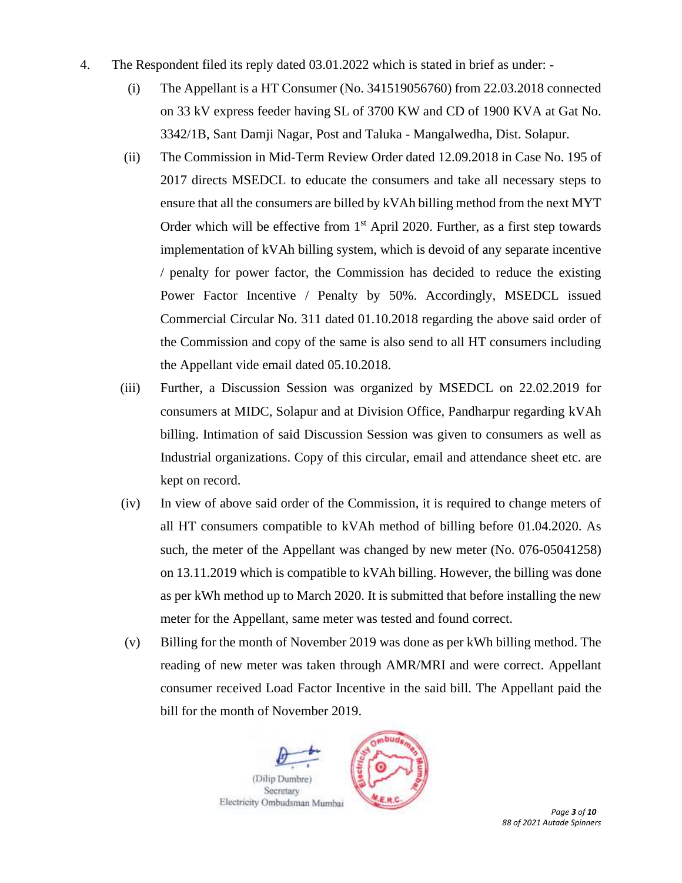- 4. The Respondent filed its reply dated 03.01.2022 which is stated in brief as under:
	- (i) The Appellant is a HT Consumer (No. 341519056760) from 22.03.2018 connected on 33 kV express feeder having SL of 3700 KW and CD of 1900 KVA at Gat No. 3342/1B, Sant Damji Nagar, Post and Taluka - Mangalwedha, Dist. Solapur.
	- (ii) The Commission in Mid-Term Review Order dated 12.09.2018 in Case No. 195 of 2017 directs MSEDCL to educate the consumers and take all necessary steps to ensure that all the consumers are billed by kVAh billing method from the next MYT Order which will be effective from  $1<sup>st</sup>$  April 2020. Further, as a first step towards implementation of kVAh billing system, which is devoid of any separate incentive / penalty for power factor, the Commission has decided to reduce the existing Power Factor Incentive / Penalty by 50%. Accordingly, MSEDCL issued Commercial Circular No. 311 dated 01.10.2018 regarding the above said order of the Commission and copy of the same is also send to all HT consumers including the Appellant vide email dated 05.10.2018.
	- (iii) Further, a Discussion Session was organized by MSEDCL on 22.02.2019 for consumers at MIDC, Solapur and at Division Office, Pandharpur regarding kVAh billing. Intimation of said Discussion Session was given to consumers as well as Industrial organizations. Copy of this circular, email and attendance sheet etc. are kept on record.
	- (iv) In view of above said order of the Commission, it is required to change meters of all HT consumers compatible to kVAh method of billing before 01.04.2020. As such, the meter of the Appellant was changed by new meter (No. 076-05041258) on 13.11.2019 which is compatible to kVAh billing. However, the billing was done as per kWh method up to March 2020. It is submitted that before installing the new meter for the Appellant, same meter was tested and found correct.
	- (v) Billing for the month of November 2019 was done as per kWh billing method. The reading of new meter was taken through AMR/MRI and were correct. Appellant consumer received Load Factor Incentive in the said bill. The Appellant paid the bill for the month of November 2019.

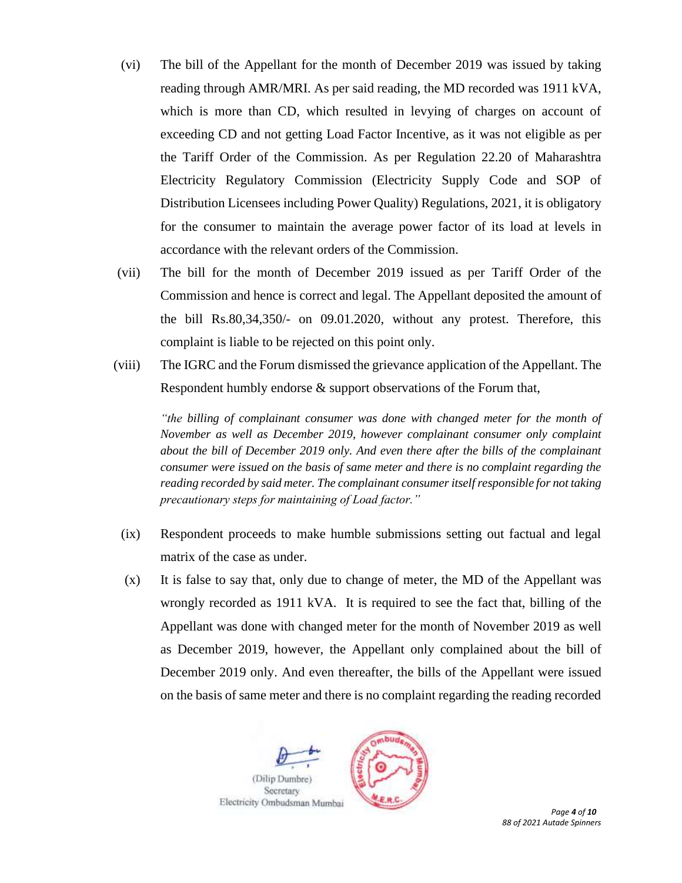- (vi) The bill of the Appellant for the month of December 2019 was issued by taking reading through AMR/MRI. As per said reading, the MD recorded was 1911 kVA, which is more than CD, which resulted in levying of charges on account of exceeding CD and not getting Load Factor Incentive, as it was not eligible as per the Tariff Order of the Commission. As per Regulation 22.20 of Maharashtra Electricity Regulatory Commission (Electricity Supply Code and SOP of Distribution Licensees including Power Quality) Regulations, 2021, it is obligatory for the consumer to maintain the average power factor of its load at levels in accordance with the relevant orders of the Commission.
- (vii) The bill for the month of December 2019 issued as per Tariff Order of the Commission and hence is correct and legal. The Appellant deposited the amount of the bill Rs.80,34,350/- on 09.01.2020, without any protest. Therefore, this complaint is liable to be rejected on this point only.
- (viii) The IGRC and the Forum dismissed the grievance application of the Appellant. The Respondent humbly endorse & support observations of the Forum that,

*"the billing of complainant consumer was done with changed meter for the month of November as well as December 2019, however complainant consumer only complaint about the bill of December 2019 only. And even there after the bills of the complainant consumer were issued on the basis of same meter and there is no complaint regarding the reading recorded by said meter. The complainant consumer itself responsible for not taking precautionary steps for maintaining of Load factor."*

- (ix) Respondent proceeds to make humble submissions setting out factual and legal matrix of the case as under.
- (x) It is false to say that, only due to change of meter, the MD of the Appellant was wrongly recorded as 1911 kVA. It is required to see the fact that, billing of the Appellant was done with changed meter for the month of November 2019 as well as December 2019, however, the Appellant only complained about the bill of December 2019 only. And even thereafter, the bills of the Appellant were issued on the basis of same meter and there is no complaint regarding the reading recorded



*88 of 2021 Autade Spinners*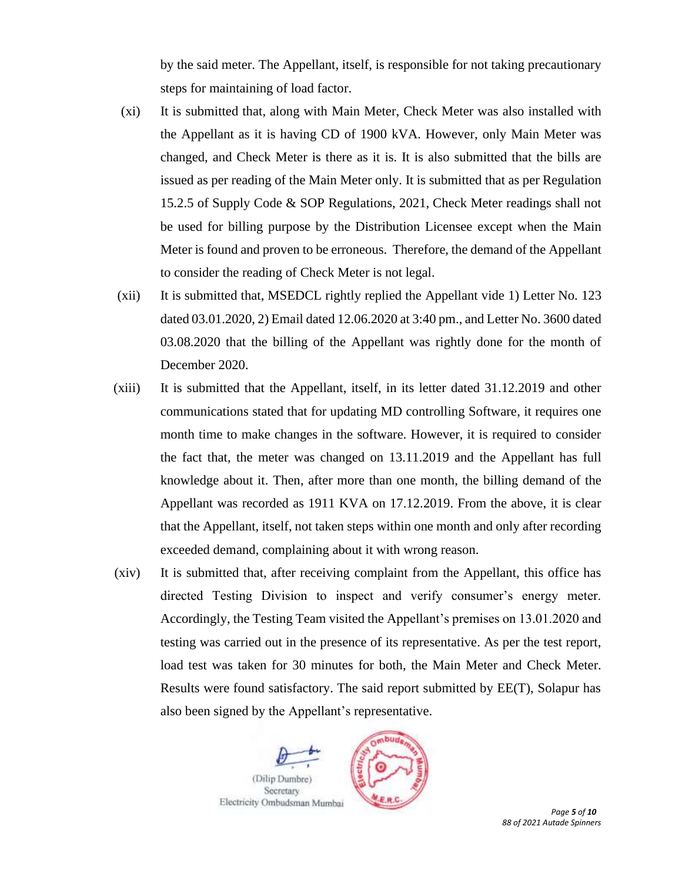by the said meter. The Appellant, itself, is responsible for not taking precautionary steps for maintaining of load factor.

- (xi) It is submitted that, along with Main Meter, Check Meter was also installed with the Appellant as it is having CD of 1900 kVA. However, only Main Meter was changed, and Check Meter is there as it is. It is also submitted that the bills are issued as per reading of the Main Meter only. It is submitted that as per Regulation 15.2.5 of Supply Code & SOP Regulations, 2021, Check Meter readings shall not be used for billing purpose by the Distribution Licensee except when the Main Meter is found and proven to be erroneous. Therefore, the demand of the Appellant to consider the reading of Check Meter is not legal.
- (xii) It is submitted that, MSEDCL rightly replied the Appellant vide 1) Letter No. 123 dated 03.01.2020, 2) Email dated 12.06.2020 at 3:40 pm., and Letter No. 3600 dated 03.08.2020 that the billing of the Appellant was rightly done for the month of December 2020.
- (xiii) It is submitted that the Appellant, itself, in its letter dated 31.12.2019 and other communications stated that for updating MD controlling Software, it requires one month time to make changes in the software. However, it is required to consider the fact that, the meter was changed on 13.11.2019 and the Appellant has full knowledge about it. Then, after more than one month, the billing demand of the Appellant was recorded as 1911 KVA on 17.12.2019. From the above, it is clear that the Appellant, itself, not taken steps within one month and only after recording exceeded demand, complaining about it with wrong reason.
- (xiv) It is submitted that, after receiving complaint from the Appellant, this office has directed Testing Division to inspect and verify consumer's energy meter. Accordingly, the Testing Team visited the Appellant's premises on 13.01.2020 and testing was carried out in the presence of its representative. As per the test report, load test was taken for 30 minutes for both, the Main Meter and Check Meter. Results were found satisfactory. The said report submitted by EE(T), Solapur has also been signed by the Appellant's representative.





 *Page 5 of 10 88 of 2021 Autade Spinners*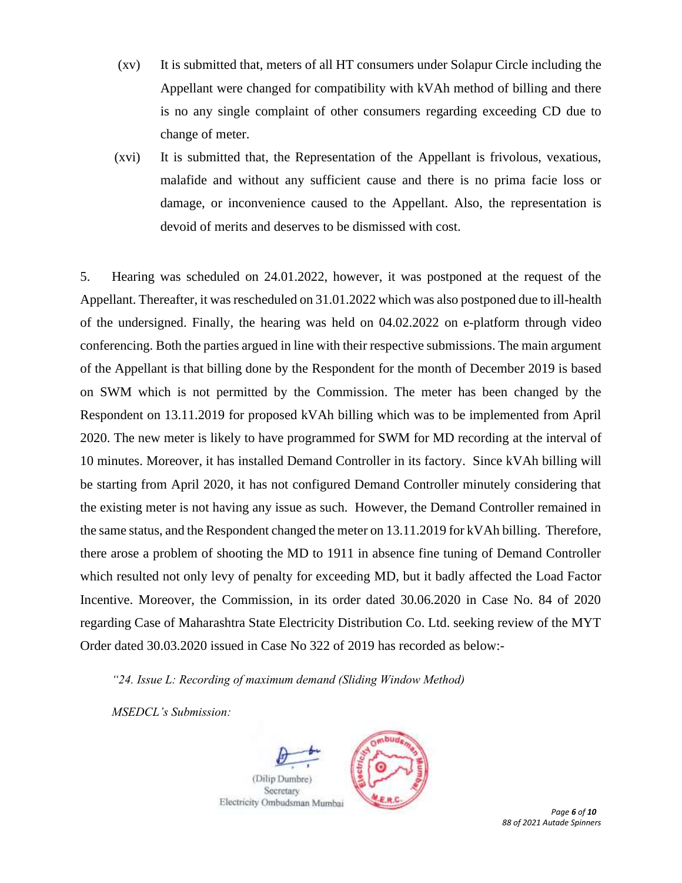- (xv) It is submitted that, meters of all HT consumers under Solapur Circle including the Appellant were changed for compatibility with kVAh method of billing and there is no any single complaint of other consumers regarding exceeding CD due to change of meter.
- (xvi) It is submitted that, the Representation of the Appellant is frivolous, vexatious, malafide and without any sufficient cause and there is no prima facie loss or damage, or inconvenience caused to the Appellant. Also, the representation is devoid of merits and deserves to be dismissed with cost.

5. Hearing was scheduled on 24.01.2022, however, it was postponed at the request of the Appellant. Thereafter, it was rescheduled on 31.01.2022 which was also postponed due to ill-health of the undersigned. Finally, the hearing was held on 04.02.2022 on e-platform through video conferencing. Both the parties argued in line with their respective submissions. The main argument of the Appellant is that billing done by the Respondent for the month of December 2019 is based on SWM which is not permitted by the Commission. The meter has been changed by the Respondent on 13.11.2019 for proposed kVAh billing which was to be implemented from April 2020. The new meter is likely to have programmed for SWM for MD recording at the interval of 10 minutes. Moreover, it has installed Demand Controller in its factory. Since kVAh billing will be starting from April 2020, it has not configured Demand Controller minutely considering that the existing meter is not having any issue as such. However, the Demand Controller remained in the same status, and the Respondent changed the meter on 13.11.2019 for kVAh billing. Therefore, there arose a problem of shooting the MD to 1911 in absence fine tuning of Demand Controller which resulted not only levy of penalty for exceeding MD, but it badly affected the Load Factor Incentive. Moreover, the Commission, in its order dated 30.06.2020 in Case No. 84 of 2020 regarding Case of Maharashtra State Electricity Distribution Co. Ltd. seeking review of the MYT Order dated 30.03.2020 issued in Case No 322 of 2019 has recorded as below:-

*"24. Issue L: Recording of maximum demand (Sliding Window Method)* 

*MSEDCL's Submission:*





 *Page 6 of 10 88 of 2021 Autade Spinners*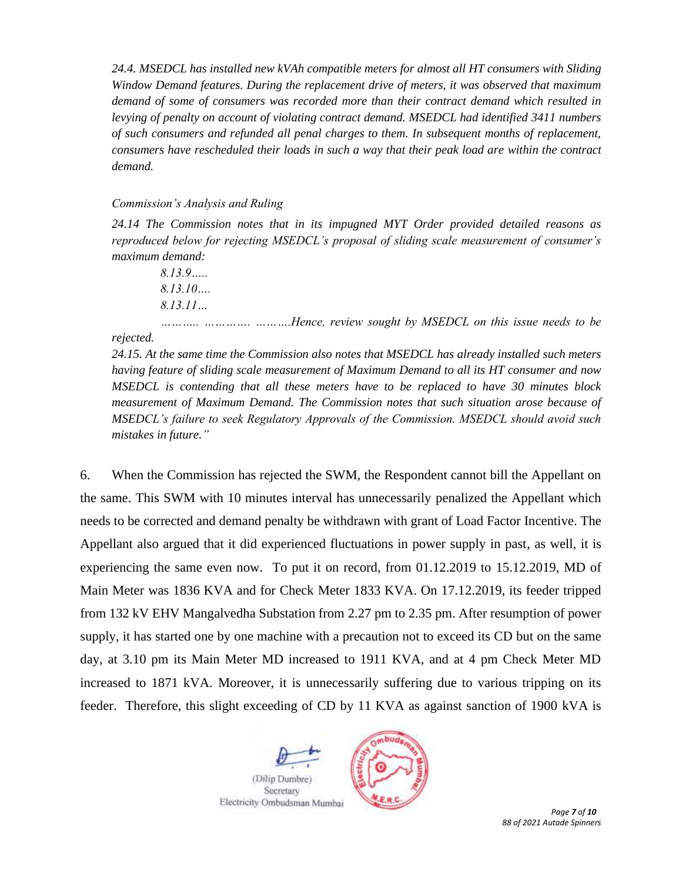*24.4. MSEDCL has installed new kVAh compatible meters for almost all HT consumers with Sliding Window Demand features. During the replacement drive of meters, it was observed that maximum demand of some of consumers was recorded more than their contract demand which resulted in levying of penalty on account of violating contract demand. MSEDCL had identified 3411 numbers of such consumers and refunded all penal charges to them. In subsequent months of replacement, consumers have rescheduled their loads in such a way that their peak load are within the contract demand.*

#### *Commission's Analysis and Ruling*

*24.14 The Commission notes that in its impugned MYT Order provided detailed reasons as reproduced below for rejecting MSEDCL's proposal of sliding scale measurement of consumer's maximum demand:*

*8.13.9….. 8.13.10…. 8.13.11…*

*……….. …………. ……….Hence, review sought by MSEDCL on this issue needs to be rejected.* 

*24.15. At the same time the Commission also notes that MSEDCL has already installed such meters having feature of sliding scale measurement of Maximum Demand to all its HT consumer and now MSEDCL is contending that all these meters have to be replaced to have 30 minutes block measurement of Maximum Demand. The Commission notes that such situation arose because of MSEDCL's failure to seek Regulatory Approvals of the Commission. MSEDCL should avoid such mistakes in future."*

6. When the Commission has rejected the SWM, the Respondent cannot bill the Appellant on the same. This SWM with 10 minutes interval has unnecessarily penalized the Appellant which needs to be corrected and demand penalty be withdrawn with grant of Load Factor Incentive. The Appellant also argued that it did experienced fluctuations in power supply in past, as well, it is experiencing the same even now. To put it on record, from 01.12.2019 to 15.12.2019, MD of Main Meter was 1836 KVA and for Check Meter 1833 KVA. On 17.12.2019, its feeder tripped from 132 kV EHV Mangalvedha Substation from 2.27 pm to 2.35 pm. After resumption of power supply, it has started one by one machine with a precaution not to exceed its CD but on the same day, at 3.10 pm its Main Meter MD increased to 1911 KVA, and at 4 pm Check Meter MD increased to 1871 kVA. Moreover, it is unnecessarily suffering due to various tripping on its feeder. Therefore, this slight exceeding of CD by 11 KVA as against sanction of 1900 kVA is





 *Page 7 of 10 88 of 2021 Autade Spinners*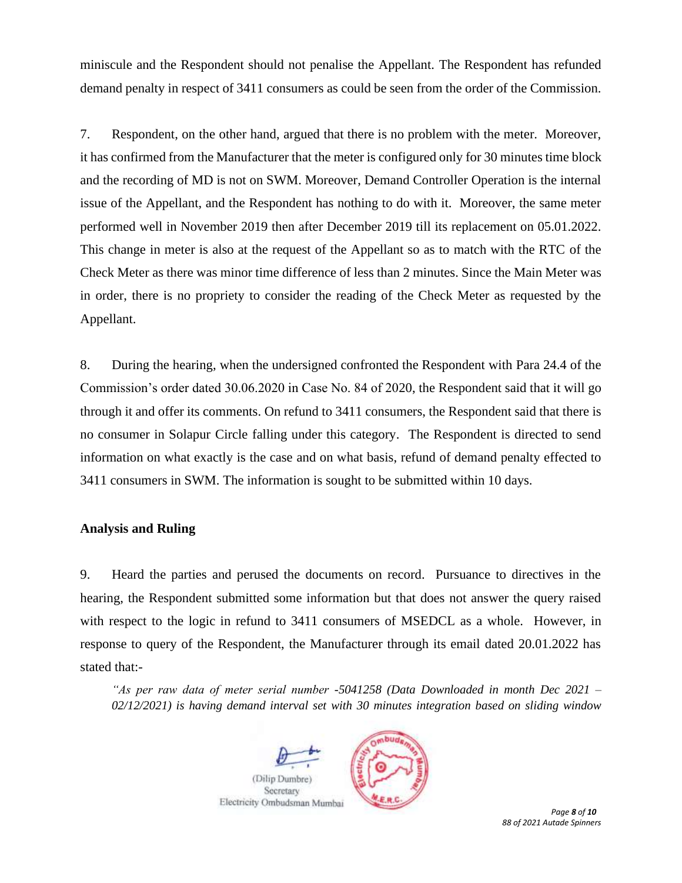miniscule and the Respondent should not penalise the Appellant. The Respondent has refunded demand penalty in respect of 3411 consumers as could be seen from the order of the Commission.

7. Respondent, on the other hand, argued that there is no problem with the meter. Moreover, it has confirmed from the Manufacturer that the meter is configured only for 30 minutes time block and the recording of MD is not on SWM. Moreover, Demand Controller Operation is the internal issue of the Appellant, and the Respondent has nothing to do with it. Moreover, the same meter performed well in November 2019 then after December 2019 till its replacement on 05.01.2022. This change in meter is also at the request of the Appellant so as to match with the RTC of the Check Meter as there was minor time difference of less than 2 minutes. Since the Main Meter was in order, there is no propriety to consider the reading of the Check Meter as requested by the Appellant.

8. During the hearing, when the undersigned confronted the Respondent with Para 24.4 of the Commission's order dated 30.06.2020 in Case No. 84 of 2020, the Respondent said that it will go through it and offer its comments. On refund to 3411 consumers, the Respondent said that there is no consumer in Solapur Circle falling under this category. The Respondent is directed to send information on what exactly is the case and on what basis, refund of demand penalty effected to 3411 consumers in SWM. The information is sought to be submitted within 10 days.

## **Analysis and Ruling**

9. Heard the parties and perused the documents on record. Pursuance to directives in the hearing, the Respondent submitted some information but that does not answer the query raised with respect to the logic in refund to 3411 consumers of MSEDCL as a whole. However, in response to query of the Respondent, the Manufacturer through its email dated 20.01.2022 has stated that:-

*"As per raw data of meter serial number -5041258 (Data Downloaded in month Dec 2021 – 02/12/2021) is having demand interval set with 30 minutes integration based on sliding window* 



*88 of 2021 Autade Spinners*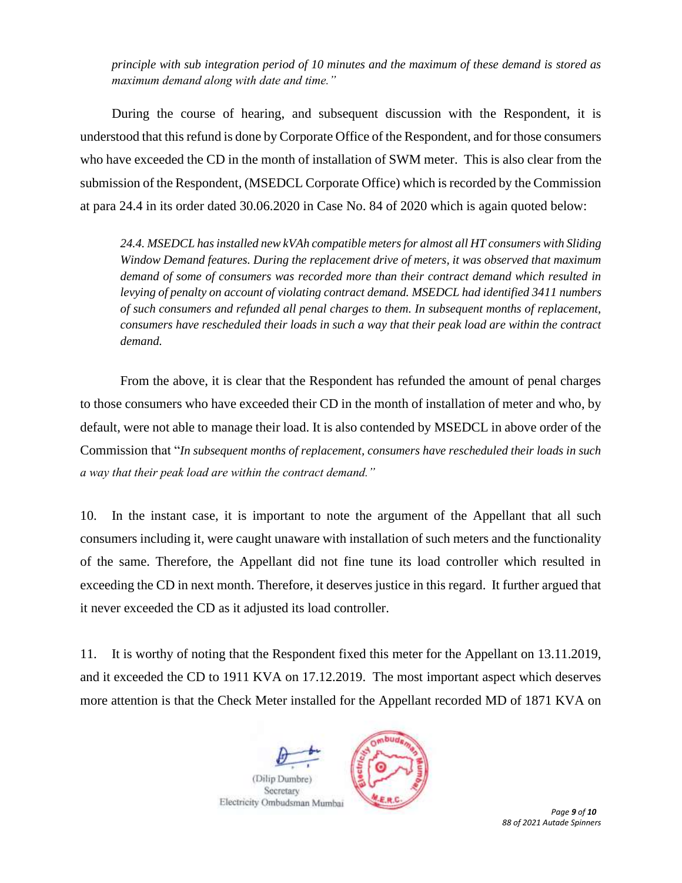*principle with sub integration period of 10 minutes and the maximum of these demand is stored as maximum demand along with date and time."*

During the course of hearing, and subsequent discussion with the Respondent, it is understood that this refund is done by Corporate Office of the Respondent, and for those consumers who have exceeded the CD in the month of installation of SWM meter. This is also clear from the submission of the Respondent, (MSEDCL Corporate Office) which is recorded by the Commission at para 24.4 in its order dated 30.06.2020 in Case No. 84 of 2020 which is again quoted below:

*24.4. MSEDCL has installed new kVAh compatible meters for almost all HT consumers with Sliding Window Demand features. During the replacement drive of meters, it was observed that maximum demand of some of consumers was recorded more than their contract demand which resulted in levying of penalty on account of violating contract demand. MSEDCL had identified 3411 numbers of such consumers and refunded all penal charges to them. In subsequent months of replacement, consumers have rescheduled their loads in such a way that their peak load are within the contract demand.*

From the above, it is clear that the Respondent has refunded the amount of penal charges to those consumers who have exceeded their CD in the month of installation of meter and who, by default, were not able to manage their load. It is also contended by MSEDCL in above order of the Commission that "*In subsequent months of replacement, consumers have rescheduled their loads in such a way that their peak load are within the contract demand."* 

10. In the instant case, it is important to note the argument of the Appellant that all such consumers including it, were caught unaware with installation of such meters and the functionality of the same. Therefore, the Appellant did not fine tune its load controller which resulted in exceeding the CD in next month. Therefore, it deserves justice in this regard. It further argued that it never exceeded the CD as it adjusted its load controller.

11. It is worthy of noting that the Respondent fixed this meter for the Appellant on 13.11.2019, and it exceeded the CD to 1911 KVA on 17.12.2019. The most important aspect which deserves more attention is that the Check Meter installed for the Appellant recorded MD of 1871 KVA on